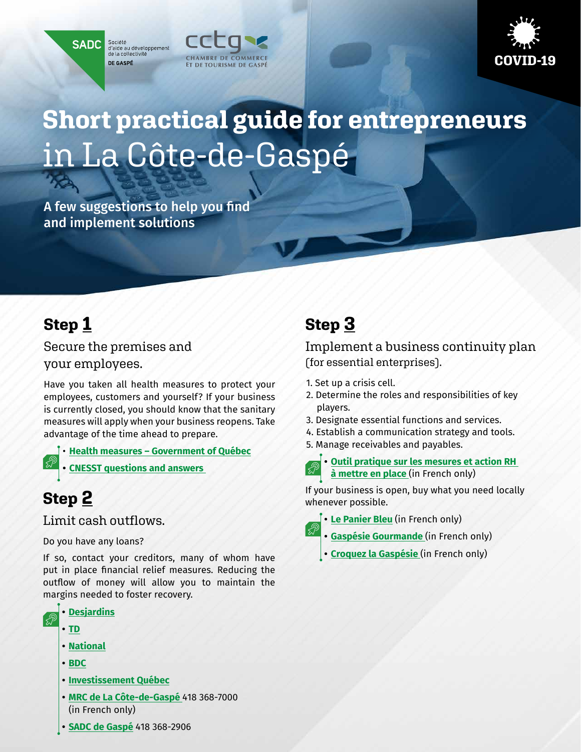Société<br>d'aide au développement<br>de la collectivité **SADC** DE GASPÉ





# **Short practical guide for entrepreneurs**  in La Côte-de-Gaspé

A few suggestions to help you find and implement solutions

## **Step 1**

Secure the premises and your employees.

Have you taken all health measures to protect your employees, customers and yourself? If your business is currently closed, you should know that the sanitary measures will apply when your business reopens. Take advantage of the time ahead to prepare.

• **[Health measures – Government of Québec](https://www.quebec.ca/en/health/health-issues/a-z/general-information-about-coronavirus/)**

**• [CNESST questions and answers](https://www.cnesst.gouv.qc.ca/salle-de-presse/covid-19-info-en/Pages/back-to-work.aspx)** 

## **Step 2**

Limit cash outflows.

Do you have any loans?

If so, contact your creditors, many of whom have put in place financial relief measures. Reducing the outflow of money will allow you to maintain the margins needed to foster recovery.



- **• [TD](https://www.td.com/ca/en/personal-banking/covid-19/)**
- **• [National](https://www.nbc.ca/business/important-notices.html)**
- **• [BDC](https://www.bdc.ca/en/pages/special-support.aspx)**
- **• [Investissement Québec](https://www.investquebec.com/quebec/en/financial-products/all-our-solutions/Concerted-temporary-action-program-for-businesses.html)**
- **• [MRC de La Côte-de-Gaspé](https://www.cotedegaspe.ca/covid-19)** 418 368-7000 (in French only)

## **Step 3**

Implement a business continuity plan (for essential enterprises).

- 1. Set up a crisis cell.
- 2. Determine the roles and responsibilities of key players.
- 3. Designate essential functions and services.
- 4. Establish a communication strategy and tools.
- 5. Manage receivables and payables.
	- **• [Outil pratique sur les mesures et action RH](https://mcusercontent.com/dcbac090ec3be12cb7a2c5cf7/files/169e6d0f-9985-4c78-adf5-cd6e5654c3a8/Pre_sentation_RH_V2_1_REV_2_.pdf)   [à mettre en place](https://mcusercontent.com/dcbac090ec3be12cb7a2c5cf7/files/169e6d0f-9985-4c78-adf5-cd6e5654c3a8/Pre_sentation_RH_V2_1_REV_2_.pdf)** (in French only)

If your business is open, buy what you need locally whenever possible.

**• [Le Panier Bleu](https://lepanierbleu.ca/recherche?reg=Gasp%C3%A9sie-%C3%8Eles-de-la-Madeleine)** (in French only)

- **• [Gaspésie Gourmande](https://www.gaspesiegourmande.com/)** (in French only)
- **• [Croquez la Gaspésie](https://croquezlagaspesie.com/)** (in French only)

**• [SADC de Gaspé](https://www.sadcgaspe.ca/covid-19en)** 418 368-2906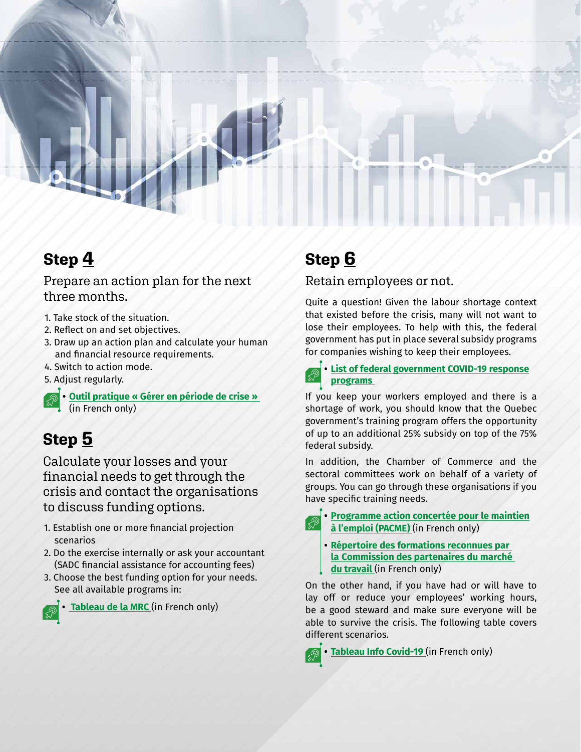

## **Step 4**

#### Prepare an action plan for the next three months.

- 1. Take stock of the situation.
- 2. Reflect on and set objectives.
- 3. Draw up an action plan and calculate your human and financial resource requirements.
- 4. Switch to action mode.
- 5. Adjust regularly.
- **• [Outil pratique « Gérer en période de crise »](https://mcusercontent.com/dcbac090ec3be12cb7a2c5cf7/files/e5f91bf1-46ec-4b2e-858a-426a3da29581/Ge_rer_en_pe_riode_de_crise_03_2020_1_REV_1_.pdf)** (in French only)

## **Step 5**

Calculate your losses and your financial needs to get through the crisis and contact the organisations to discuss funding options.

- 1. Establish one or more financial projection scenarios
- 2. Do the exercise internally or ask your accountant (SADC financial assistance for accounting fees)
- 3. Choose the best funding option for your needs. See all available programs in:



**• [Tableau de la MRC](https://32452dd4-456f-443e-9b3a-19fb12824c24.filesusr.com/ugd/ce8377_4313fad33e7941bca83efe337a8ac11e.pdf)** (in French only)

## **Step 6**

### Retain employees or not.

Quite a question! Given the labour shortage context that existed before the crisis, many will not want to lose their employees. To help with this, the federal government has put in place several subsidy programs for companies wishing to keep their employees.

**• [List of federal government COVID-19 response](https://www.canada.ca/en/department-finance/economic-response-plan.html)  [programs](https://www.canada.ca/en/department-finance/economic-response-plan.html)** 

If you keep your workers employed and there is a shortage of work, you should know that the Quebec government's training program offers the opportunity of up to an additional 25% subsidy on top of the 75% federal subsidy.

In addition, the Chamber of Commerce and the sectoral committees work on behalf of a variety of groups. You can go through these organisations if you have specific training needs.



**• [Programme action concertée pour le maintien](https://www.quebec.ca/entreprises-et-travailleurs-autonomes/programme-actions-concertees-pour-le-maintien-en-emploi-pacme-covid-19/)  [à l'emploi \(PACME\)](https://www.quebec.ca/entreprises-et-travailleurs-autonomes/programme-actions-concertees-pour-le-maintien-en-emploi-pacme-covid-19/)** (in French only)

**• [Répertoire des formations reconnues par](https://www.cpmt.gouv.qc.ca/bonnes-pratiques/formations-en-ligne.asp?fbclid=IwAR3LNZO-ZhbIyxrsjd3pSgX1IA3vmV9A71ZHNjP-sahhoK43Qs8lMQJSohY)   [la Commission des partenaires du marché](https://www.cpmt.gouv.qc.ca/bonnes-pratiques/formations-en-ligne.asp?fbclid=IwAR3LNZO-ZhbIyxrsjd3pSgX1IA3vmV9A71ZHNjP-sahhoK43Qs8lMQJSohY)   [du travail](https://www.cpmt.gouv.qc.ca/bonnes-pratiques/formations-en-ligne.asp?fbclid=IwAR3LNZO-ZhbIyxrsjd3pSgX1IA3vmV9A71ZHNjP-sahhoK43Qs8lMQJSohY)** (in French only)

On the other hand, if you have had or will have to lay off or reduce your employees' working hours, be a good steward and make sure everyone will be able to survive the crisis. The following table covers different scenarios.

**• [Tableau Info Covid-19](https://www.cciquebec.ca/imports/medias/la-chambre/tableau-covid-qc-11.pdf)** (in French only)